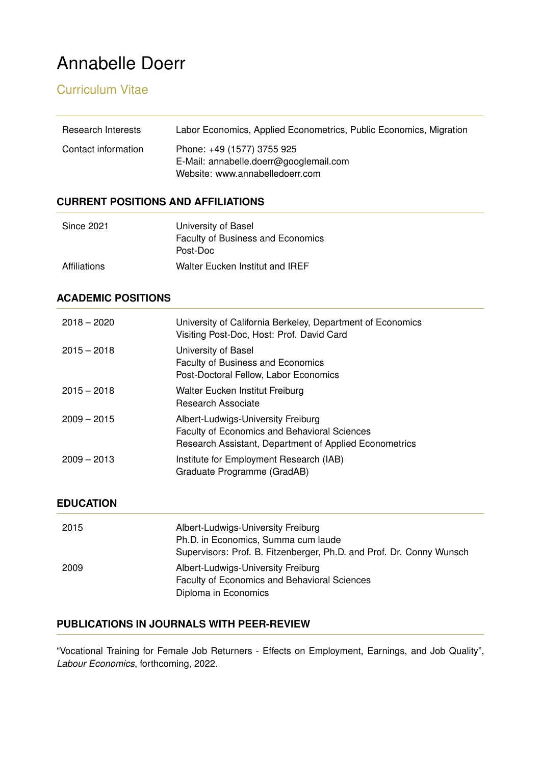# Annabelle Doerr

## Curriculum Vitae

| Research Interests  | Labor Economics, Applied Econometrics, Public Economics, Migration                                      |
|---------------------|---------------------------------------------------------------------------------------------------------|
| Contact information | Phone: +49 (1577) 3755 925<br>E-Mail: annabelle.doerr@googlemail.com<br>Website: www.annabelledoerr.com |

## **CURRENT POSITIONS AND AFFILIATIONS**

| Since 2021   | University of Basel                      |
|--------------|------------------------------------------|
|              | <b>Faculty of Business and Economics</b> |
|              | Post-Doc                                 |
| Affiliations | Walter Eucken Institut and IREF          |

## **ACADEMIC POSITIONS**

| $2018 - 2020$ | University of California Berkeley, Department of Economics<br>Visiting Post-Doc, Host: Prof. David Card                                             |
|---------------|-----------------------------------------------------------------------------------------------------------------------------------------------------|
| $2015 - 2018$ | University of Basel<br>Faculty of Business and Economics<br>Post-Doctoral Fellow, Labor Economics                                                   |
| $2015 - 2018$ | Walter Eucken Institut Freiburg<br>Research Associate                                                                                               |
| $2009 - 2015$ | Albert-Ludwigs-University Freiburg<br><b>Faculty of Economics and Behavioral Sciences</b><br>Research Assistant, Department of Applied Econometrics |
| $2009 - 2013$ | Institute for Employment Research (IAB)<br>Graduate Programme (GradAB)                                                                              |

## **EDUCATION**

| 2015 | Albert-Ludwigs-University Freiburg<br>Ph.D. in Economics, Summa cum laude<br>Supervisors: Prof. B. Fitzenberger, Ph.D. and Prof. Dr. Conny Wunsch |
|------|---------------------------------------------------------------------------------------------------------------------------------------------------|
| 2009 | Albert-Ludwigs-University Freiburg<br>Faculty of Economics and Behavioral Sciences<br>Diploma in Economics                                        |

## **PUBLICATIONS IN JOURNALS WITH PEER-REVIEW**

"Vocational Training for Female Job Returners - Effects on Employment, Earnings, and Job Quality", *Labour Economics*, forthcoming, 2022.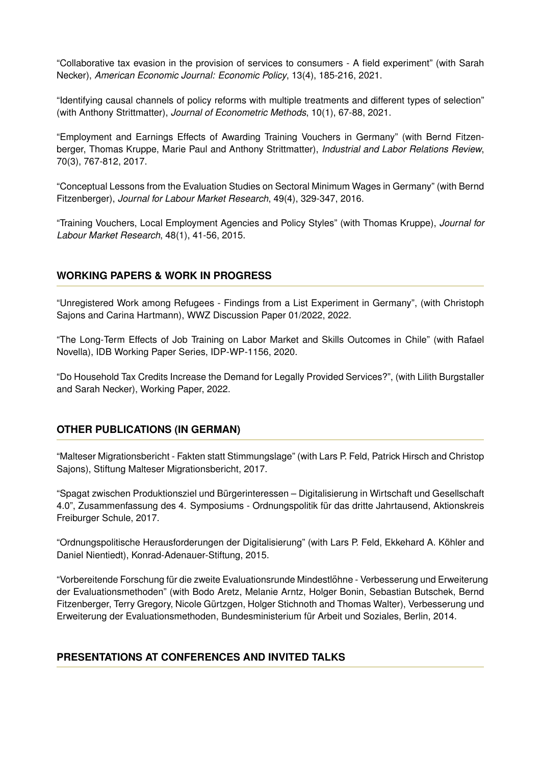"Collaborative tax evasion in the provision of services to consumers - A field experiment" (with Sarah Necker), *American Economic Journal: Economic Policy*, 13(4), 185-216, 2021.

"Identifying causal channels of policy reforms with multiple treatments and different types of selection" (with Anthony Strittmatter), *Journal of Econometric Methods*, 10(1), 67-88, 2021.

"Employment and Earnings Effects of Awarding Training Vouchers in Germany" (with Bernd Fitzenberger, Thomas Kruppe, Marie Paul and Anthony Strittmatter), *Industrial and Labor Relations Review*, 70(3), 767-812, 2017.

"Conceptual Lessons from the Evaluation Studies on Sectoral Minimum Wages in Germany" (with Bernd Fitzenberger), *Journal for Labour Market Research*, 49(4), 329-347, 2016.

"Training Vouchers, Local Employment Agencies and Policy Styles" (with Thomas Kruppe), *Journal for Labour Market Research*, 48(1), 41-56, 2015.

#### **WORKING PAPERS & WORK IN PROGRESS**

"Unregistered Work among Refugees - Findings from a List Experiment in Germany", (with Christoph Sajons and Carina Hartmann), WWZ Discussion Paper 01/2022, 2022.

"The Long-Term Effects of Job Training on Labor Market and Skills Outcomes in Chile" (with Rafael Novella), IDB Working Paper Series, IDP-WP-1156, 2020.

"Do Household Tax Credits Increase the Demand for Legally Provided Services?", (with Lilith Burgstaller and Sarah Necker), Working Paper, 2022.

#### **OTHER PUBLICATIONS (IN GERMAN)**

"Malteser Migrationsbericht - Fakten statt Stimmungslage" (with Lars P. Feld, Patrick Hirsch and Christop Sajons), Stiftung Malteser Migrationsbericht, 2017.

"Spagat zwischen Produktionsziel und Burgerinteressen – Digitalisierung in Wirtschaft und Gesellschaft ¨ 4.0", Zusammenfassung des 4. Symposiums - Ordnungspolitik für das dritte Jahrtausend, Aktionskreis Freiburger Schule, 2017.

"Ordnungspolitische Herausforderungen der Digitalisierung" (with Lars P. Feld, Ekkehard A. Kohler and ¨ Daniel Nientiedt), Konrad-Adenauer-Stiftung, 2015.

"Vorbereitende Forschung für die zweite Evaluationsrunde Mindestlöhne - Verbesserung und Erweiterung der Evaluationsmethoden" (with Bodo Aretz, Melanie Arntz, Holger Bonin, Sebastian Butschek, Bernd Fitzenberger, Terry Gregory, Nicole Gürtzgen, Holger Stichnoth and Thomas Walter), Verbesserung und Erweiterung der Evaluationsmethoden, Bundesministerium für Arbeit und Soziales, Berlin, 2014.

#### **PRESENTATIONS AT CONFERENCES AND INVITED TALKS**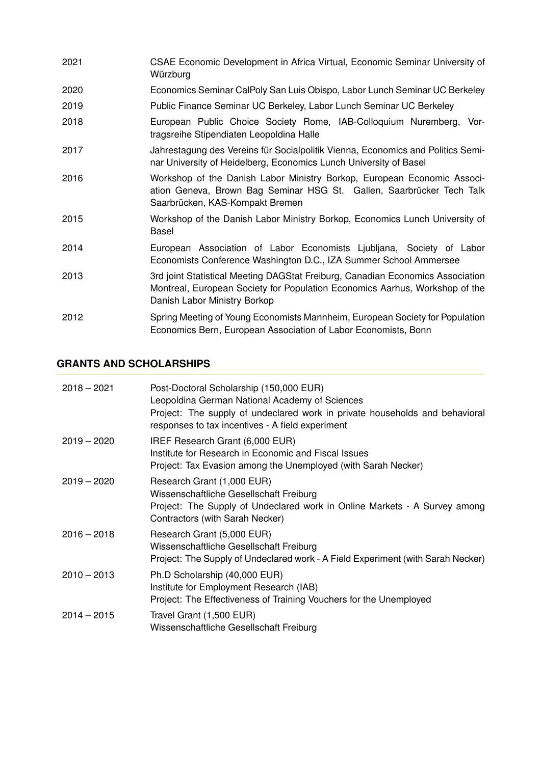- 2021 CSAE Economic Development in Africa Virtual, Economic Seminar University of Würzburg
- 2020 Economics Seminar CalPoly San Luis Obispo, Labor Lunch Seminar UC Berkeley
- 2019 Public Finance Seminar UC Berkeley, Labor Lunch Seminar UC Berkeley
- 2018 European Public Choice Society Rome, IAB-Colloquium Nuremberg, Vortragsreihe Stipendiaten Leopoldina Halle
- 2017 Jahrestagung des Vereins für Socialpolitik Vienna, Economics and Politics Seminar University of Heidelberg, Economics Lunch University of Basel
- 2016 Workshop of the Danish Labor Ministry Borkop, European Economic Association Geneva, Brown Bag Seminar HSG St. Gallen, Saarbrücker Tech Talk Saarbrücken, KAS-Kompakt Bremen
- 2015 Workshop of the Danish Labor Ministry Borkop, Economics Lunch University of Basel
- 2014 European Association of Labor Economists Ljubljana, Society of Labor Economists Conference Washington D.C., IZA Summer School Ammersee
- 2013 3rd joint Statistical Meeting DAGStat Freiburg, Canadian Economics Association Montreal, European Society for Population Economics Aarhus, Workshop of the Danish Labor Ministry Borkop
- 2012 Spring Meeting of Young Economists Mannheim, European Society for Population Economics Bern, European Association of Labor Economists, Bonn

## **GRANTS AND SCHOLARSHIPS**

| $2018 - 2021$ | Post-Doctoral Scholarship (150,000 EUR)<br>Leopoldina German National Academy of Sciences<br>Project: The supply of undeclared work in private households and behavioral<br>responses to tax incentives - A field experiment |
|---------------|------------------------------------------------------------------------------------------------------------------------------------------------------------------------------------------------------------------------------|
| $2019 - 2020$ | IREF Research Grant (6,000 EUR)<br>Institute for Research in Economic and Fiscal Issues<br>Project: Tax Evasion among the Unemployed (with Sarah Necker)                                                                     |
| $2019 - 2020$ | Research Grant (1,000 EUR)<br>Wissenschaftliche Gesellschaft Freiburg<br>Project: The Supply of Undeclared work in Online Markets - A Survey among<br>Contractors (with Sarah Necker)                                        |
| $2016 - 2018$ | Research Grant (5,000 EUR)<br>Wissenschaftliche Gesellschaft Freiburg<br>Project: The Supply of Undeclared work - A Field Experiment (with Sarah Necker)                                                                     |
| $2010 - 2013$ | Ph.D Scholarship (40,000 EUR)<br>Institute for Employment Research (IAB)<br>Project: The Effectiveness of Training Vouchers for the Unemployed                                                                               |
| $2014 - 2015$ | Travel Grant (1,500 EUR)<br>Wissenschaftliche Gesellschaft Freiburg                                                                                                                                                          |